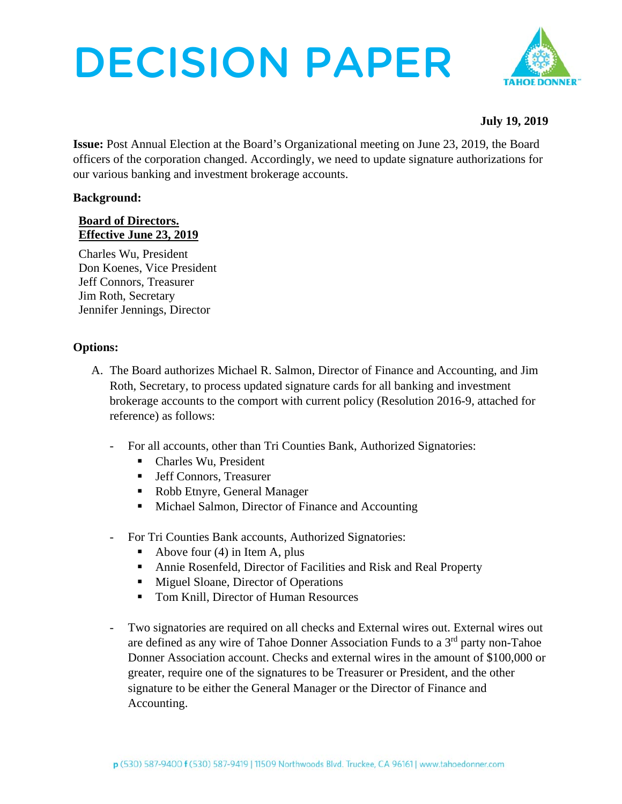# DECISION PAPER



## **July 19, 2019**

**Issue:** Post Annual Election at the Board's Organizational meeting on June 23, 2019, the Board officers of the corporation changed. Accordingly, we need to update signature authorizations for our various banking and investment brokerage accounts.

## **Background:**

## **Board of Directors. Effective June 23, 2019**

Charles Wu, President Don Koenes, Vice President Jeff Connors, Treasurer Jim Roth, Secretary Jennifer Jennings, Director

## **Options:**

- A. The Board authorizes Michael R. Salmon, Director of Finance and Accounting, and Jim Roth, Secretary, to process updated signature cards for all banking and investment brokerage accounts to the comport with current policy (Resolution 2016-9, attached for reference) as follows:
	- For all accounts, other than Tri Counties Bank, Authorized Signatories:
		- Charles Wu, President
		- Jeff Connors, Treasurer
		- Robb Etnyre, General Manager
		- Michael Salmon, Director of Finance and Accounting
	- For Tri Counties Bank accounts, Authorized Signatories:
		- Above four  $(4)$  in Item A, plus
		- Annie Rosenfeld, Director of Facilities and Risk and Real Property
		- Miguel Sloane, Director of Operations
		- Tom Knill, Director of Human Resources
	- Two signatories are required on all checks and External wires out. External wires out are defined as any wire of Tahoe Donner Association Funds to a 3rd party non-Tahoe Donner Association account. Checks and external wires in the amount of \$100,000 or greater, require one of the signatures to be Treasurer or President, and the other signature to be either the General Manager or the Director of Finance and Accounting.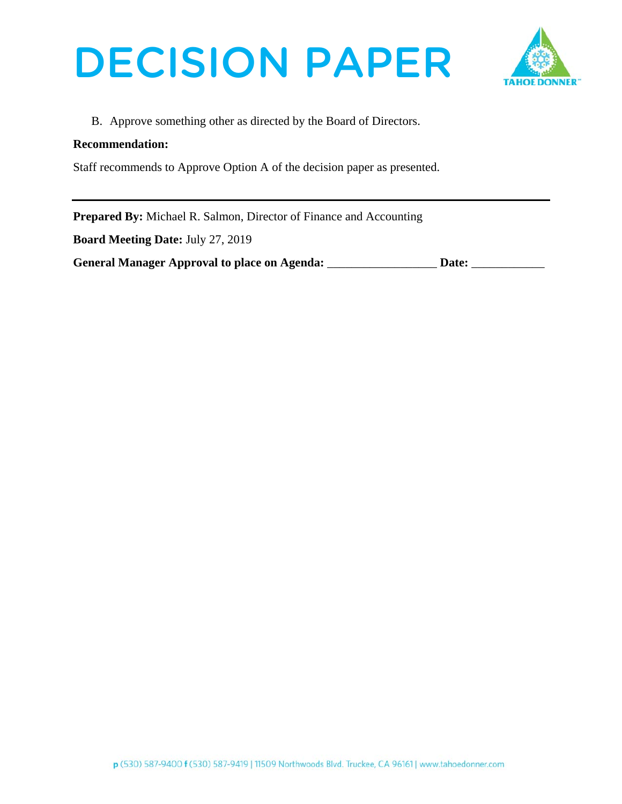



B. Approve something other as directed by the Board of Directors.

## **Recommendation:**

Staff recommends to Approve Option A of the decision paper as presented.

**Prepared By:** Michael R. Salmon, Director of Finance and Accounting

**Board Meeting Date:** July 27, 2019

| <b>General Manager Approval to place on Agenda:</b> | Date: |
|-----------------------------------------------------|-------|
|                                                     |       |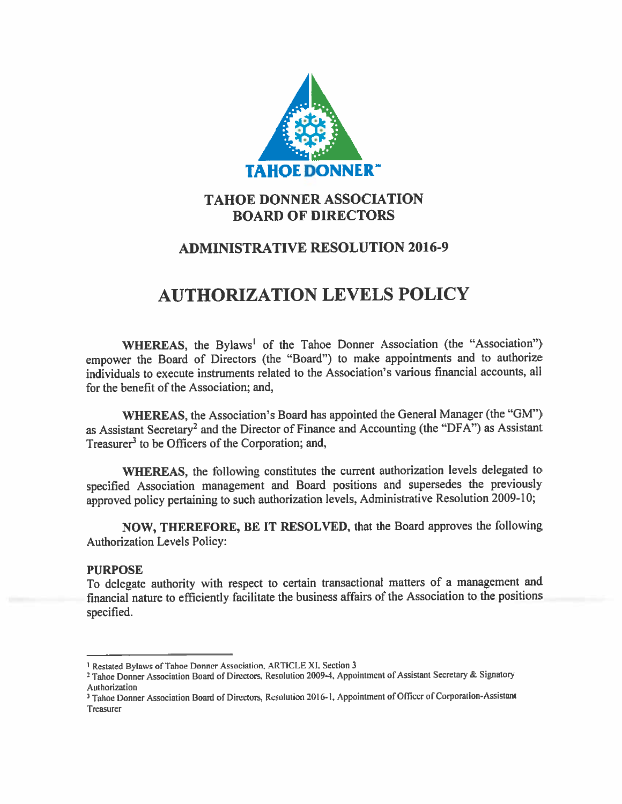

## **TAHOE DONNER ASSOCIATION BOARD OF DIRECTORS**

## **ADMINISTRATIVE RESOLUTION 2016-9**

# **AUTHORIZATION LEVELS POLICY**

WHEREAS, the Bylaws<sup>1</sup> of the Tahoe Donner Association (the "Association") empower the Board of Directors (the "Board") to make appointments and to authorize individuals to execute instruments related to the Association's various financial accounts, all for the benefit of the Association; and,

WHEREAS, the Association's Board has appointed the General Manager (the "GM") as Assistant Secretary<sup>2</sup> and the Director of Finance and Accounting (the "DFA") as Assistant Treasurer<sup>3</sup> to be Officers of the Corporation; and,

WHEREAS, the following constitutes the current authorization levels delegated to specified Association management and Board positions and supersedes the previously approved policy pertaining to such authorization levels, Administrative Resolution 2009-10;

NOW, THEREFORE, BE IT RESOLVED, that the Board approves the following **Authorization Levels Policy:** 

## **PURPOSE**

To delegate authority with respect to certain transactional matters of a management and financial nature to efficiently facilitate the business affairs of the Association to the positions specified.

<sup>&</sup>lt;sup>1</sup> Restated Bylaws of Tahoe Donner Association, ARTICLE XI, Section 3

<sup>&</sup>lt;sup>2</sup> Tahoe Donner Association Board of Directors, Resolution 2009-4, Appointment of Assistant Secretary & Signatory Authorization

<sup>&</sup>lt;sup>3</sup> Tahoe Donner Association Board of Directors, Resolution 2016-1, Appointment of Officer of Corporation-Assistant Treasurer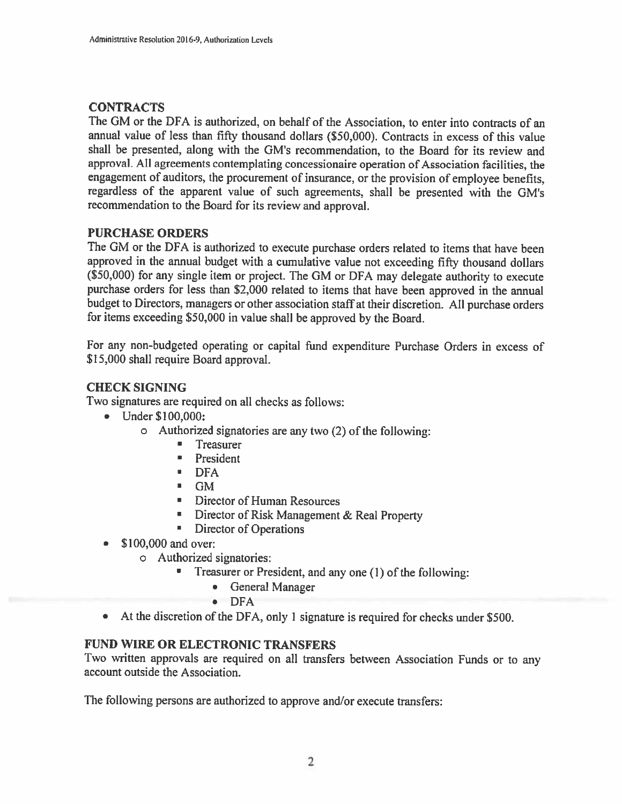## **CONTRACTS**

The GM or the DFA is authorized, on behalf of the Association, to enter into contracts of an annual value of less than fifty thousand dollars (\$50,000). Contracts in excess of this value shall be presented, along with the GM's recommendation, to the Board for its review and approval. All agreements contemplating concessionaire operation of Association facilities, the engagement of auditors, the procurement of insurance, or the provision of employee benefits, regardless of the apparent value of such agreements, shall be presented with the GM's recommendation to the Board for its review and approval.

## **PURCHASE ORDERS**

The GM or the DFA is authorized to execute purchase orders related to items that have been approved in the annual budget with a cumulative value not exceeding fifty thousand dollars (\$50,000) for any single item or project. The GM or DFA may delegate authority to execute purchase orders for less than \$2,000 related to items that have been approved in the annual budget to Directors, managers or other association staff at their discretion. All purchase orders for items exceeding \$50,000 in value shall be approved by the Board.

For any non-budgeted operating or capital fund expenditure Purchase Orders in excess of \$15,000 shall require Board approval.

## **CHECK SIGNING**

Two signatures are required on all checks as follows:

- $\bullet$  Under \$100,000:
	- o Authorized signatories are any two (2) of the following:
		- Treasurer  $\blacksquare$
		- **President**
		- $\blacksquare$  DFA
		- $\blacksquare$  GM
		- Director of Human Resources
		- **E** Director of Risk Management & Real Property
		- **E** Director of Operations
- \$100,000 and over:
	- o Authorized signatories:
		- $\blacksquare$ Treasurer or President, and any one (1) of the following:
			- General Manager
			- $\bullet$  DFA
- At the discretion of the DFA, only 1 signature is required for checks under \$500.  $\bullet$

## **FUND WIRE OR ELECTRONIC TRANSFERS**

Two written approvals are required on all transfers between Association Funds or to any account outside the Association.

The following persons are authorized to approve and/or execute transfers: